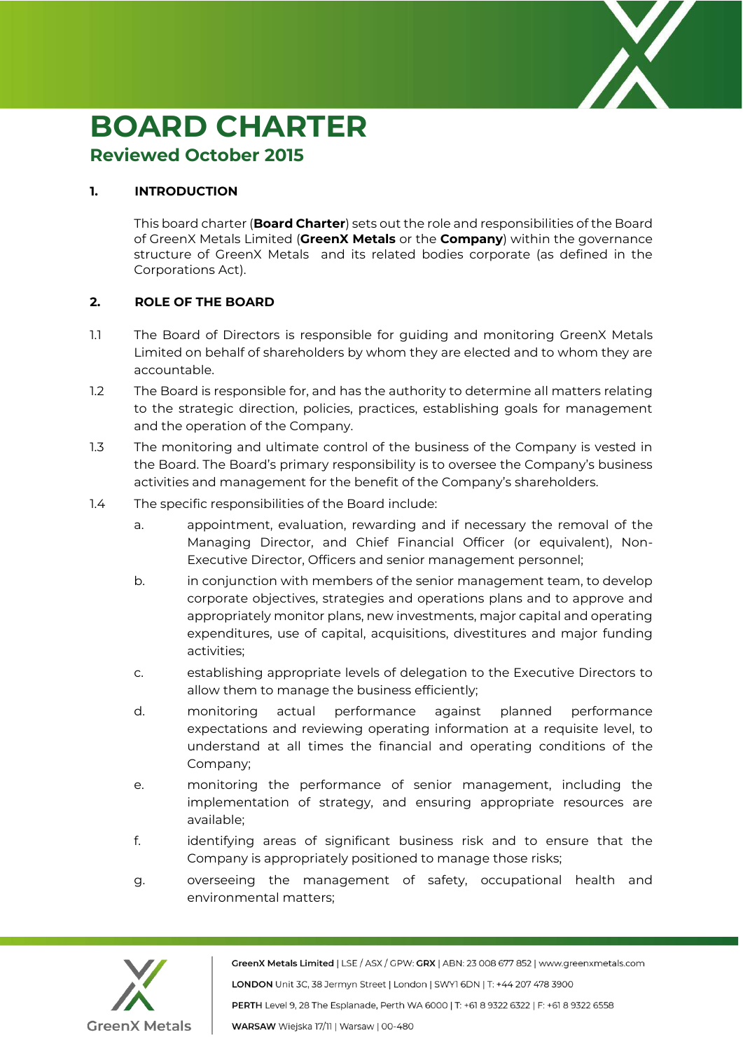

## **BOARD CHARTER**

## **Reviewed October 2015**

## **1. INTRODUCTION**

This board charter (**Board Charter**) sets out the role and responsibilities of the Board of GreenX Metals Limited (**GreenX Metals** or the **Company**) within the governance structure of GreenX Metals and its related bodies corporate (as defined in the Corporations Act).

## **2. ROLE OF THE BOARD**

- 1.1 The Board of Directors is responsible for guiding and monitoring GreenX Metals Limited on behalf of shareholders by whom they are elected and to whom they are accountable.
- 1.2 The Board is responsible for, and has the authority to determine all matters relating to the strategic direction, policies, practices, establishing goals for management and the operation of the Company.
- 1.3 The monitoring and ultimate control of the business of the Company is vested in the Board. The Board's primary responsibility is to oversee the Company's business activities and management for the benefit of the Company's shareholders.
- 1.4 The specific responsibilities of the Board include:
	- a. appointment, evaluation, rewarding and if necessary the removal of the Managing Director, and Chief Financial Officer (or equivalent), Non-Executive Director, Officers and senior management personnel;
	- b. in conjunction with members of the senior management team, to develop corporate objectives, strategies and operations plans and to approve and appropriately monitor plans, new investments, major capital and operating expenditures, use of capital, acquisitions, divestitures and major funding activities;
	- c. establishing appropriate levels of delegation to the Executive Directors to allow them to manage the business efficiently;
	- d. monitoring actual performance against planned performance expectations and reviewing operating information at a requisite level, to understand at all times the financial and operating conditions of the Company;
	- e. monitoring the performance of senior management, including the implementation of strategy, and ensuring appropriate resources are available;
	- f. identifying areas of significant business risk and to ensure that the Company is appropriately positioned to manage those risks;
	- g. overseeing the management of safety, occupational health and environmental matters;

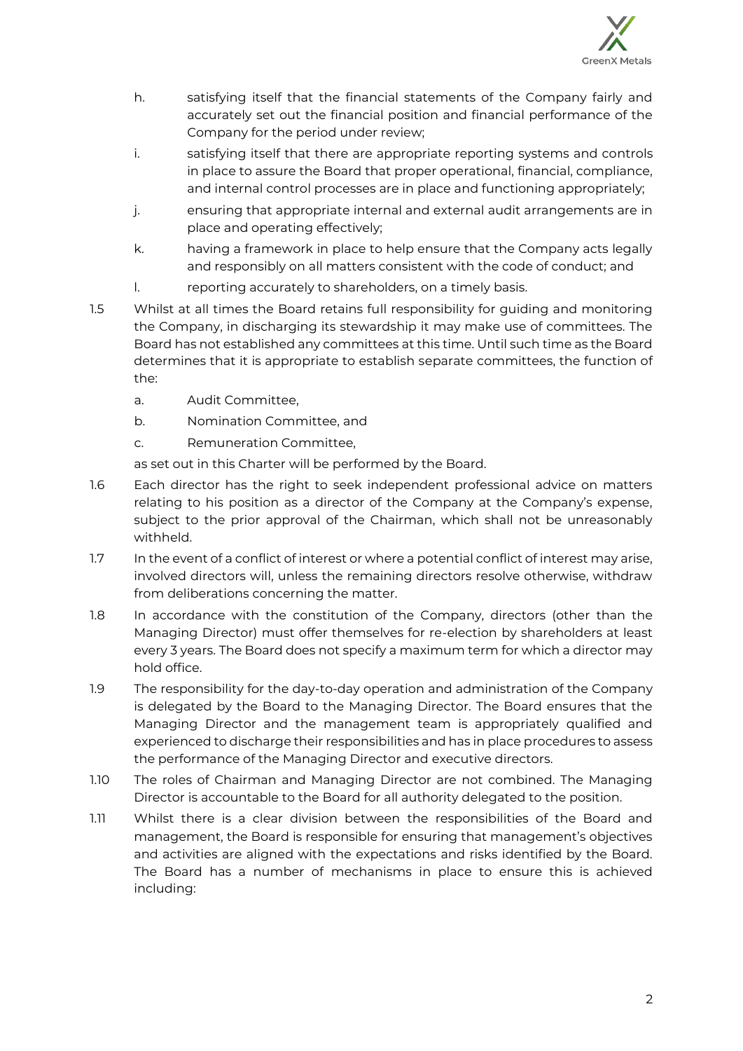

- h. satisfying itself that the financial statements of the Company fairly and accurately set out the financial position and financial performance of the Company for the period under review;
- i. satisfying itself that there are appropriate reporting systems and controls in place to assure the Board that proper operational, financial, compliance, and internal control processes are in place and functioning appropriately;
- j. ensuring that appropriate internal and external audit arrangements are in place and operating effectively;
- k. having a framework in place to help ensure that the Company acts legally and responsibly on all matters consistent with the code of conduct; and
- l. reporting accurately to shareholders, on a timely basis.
- 1.5 Whilst at all times the Board retains full responsibility for guiding and monitoring the Company, in discharging its stewardship it may make use of committees. The Board has not established any committees at this time. Until such time as the Board determines that it is appropriate to establish separate committees, the function of the:
	- a. Audit Committee,
	- b. Nomination Committee, and
	- c. Remuneration Committee,

as set out in this Charter will be performed by the Board.

- 1.6 Each director has the right to seek independent professional advice on matters relating to his position as a director of the Company at the Company's expense, subject to the prior approval of the Chairman, which shall not be unreasonably withheld.
- 1.7 In the event of a conflict of interest or where a potential conflict of interest may arise, involved directors will, unless the remaining directors resolve otherwise, withdraw from deliberations concerning the matter.
- 1.8 In accordance with the constitution of the Company, directors (other than the Managing Director) must offer themselves for re-election by shareholders at least every 3 years. The Board does not specify a maximum term for which a director may hold office.
- 1.9 The responsibility for the day-to-day operation and administration of the Company is delegated by the Board to the Managing Director. The Board ensures that the Managing Director and the management team is appropriately qualified and experienced to discharge their responsibilities and has in place procedures to assess the performance of the Managing Director and executive directors.
- 1.10 The roles of Chairman and Managing Director are not combined. The Managing Director is accountable to the Board for all authority delegated to the position.
- 1.11 Whilst there is a clear division between the responsibilities of the Board and management, the Board is responsible for ensuring that management's objectives and activities are aligned with the expectations and risks identified by the Board. The Board has a number of mechanisms in place to ensure this is achieved including: